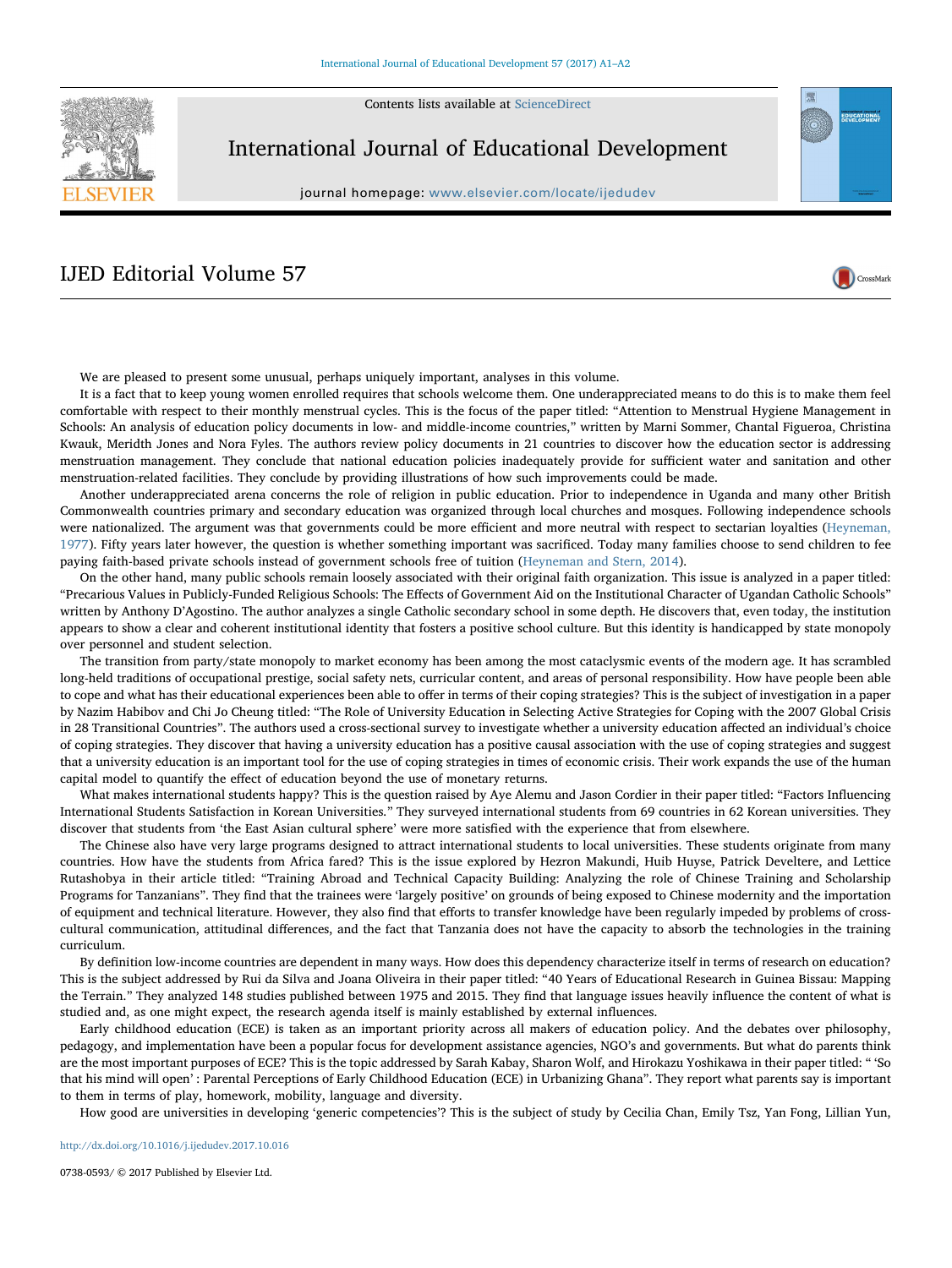Contents lists available at [ScienceDirect](http://www.sciencedirect.com/science/journal/07380593)



International Journal of Educational Development

journal homepage: [www.elsevier.com/locate/ijedudev](https://www.elsevier.com/locate/ijedudev)

CrossMark

## IJED Editorial Volume 57



It is a fact that to keep young women enrolled requires that schools welcome them. One underappreciated means to do this is to make them feel comfortable with respect to their monthly menstrual cycles. This is the focus of the paper titled: "Attention to Menstrual Hygiene Management in Schools: An analysis of education policy documents in low- and middle-income countries," written by Marni Sommer, Chantal Figueroa, Christina Kwauk, Meridth Jones and Nora Fyles. The authors review policy documents in 21 countries to discover how the education sector is addressing menstruation management. They conclude that national education policies inadequately provide for sufficient water and sanitation and other menstruation-related facilities. They conclude by providing illustrations of how such improvements could be made.

Another underappreciated arena concerns the role of religion in public education. Prior to independence in Uganda and many other British Commonwealth countries primary and secondary education was organized through local churches and mosques. Following independence schools were nationalized. The argument was that governments could be more efficient and more neutral with respect to sectarian loyalties ([Heyneman,](#page-1-0) [1977\)](#page-1-0). Fifty years later however, the question is whether something important was sacrificed. Today many families choose to send children to fee paying faith-based private schools instead of government schools free of tuition [\(Heyneman and Stern, 2014\)](#page-1-1).

On the other hand, many public schools remain loosely associated with their original faith organization. This issue is analyzed in a paper titled: "Precarious Values in Publicly-Funded Religious Schools: The Effects of Government Aid on the Institutional Character of Ugandan Catholic Schools" written by Anthony D'Agostino. The author analyzes a single Catholic secondary school in some depth. He discovers that, even today, the institution appears to show a clear and coherent institutional identity that fosters a positive school culture. But this identity is handicapped by state monopoly over personnel and student selection.

The transition from party/state monopoly to market economy has been among the most cataclysmic events of the modern age. It has scrambled long-held traditions of occupational prestige, social safety nets, curricular content, and areas of personal responsibility. How have people been able to cope and what has their educational experiences been able to offer in terms of their coping strategies? This is the subject of investigation in a paper by Nazim Habibov and Chi Jo Cheung titled: "The Role of University Education in Selecting Active Strategies for Coping with the 2007 Global Crisis in 28 Transitional Countries". The authors used a cross-sectional survey to investigate whether a university education affected an individual's choice of coping strategies. They discover that having a university education has a positive causal association with the use of coping strategies and suggest that a university education is an important tool for the use of coping strategies in times of economic crisis. Their work expands the use of the human capital model to quantify the effect of education beyond the use of monetary returns.

What makes international students happy? This is the question raised by Aye Alemu and Jason Cordier in their paper titled: "Factors Influencing International Students Satisfaction in Korean Universities." They surveyed international students from 69 countries in 62 Korean universities. They discover that students from 'the East Asian cultural sphere' were more satisfied with the experience that from elsewhere.

The Chinese also have very large programs designed to attract international students to local universities. These students originate from many countries. How have the students from Africa fared? This is the issue explored by Hezron Makundi, Huib Huyse, Patrick Develtere, and Lettice Rutashobya in their article titled: "Training Abroad and Technical Capacity Building: Analyzing the role of Chinese Training and Scholarship Programs for Tanzanians". They find that the trainees were 'largely positive' on grounds of being exposed to Chinese modernity and the importation of equipment and technical literature. However, they also find that efforts to transfer knowledge have been regularly impeded by problems of crosscultural communication, attitudinal differences, and the fact that Tanzania does not have the capacity to absorb the technologies in the training curriculum.

By definition low-income countries are dependent in many ways. How does this dependency characterize itself in terms of research on education? This is the subject addressed by Rui da Silva and Joana Oliveira in their paper titled: "40 Years of Educational Research in Guinea Bissau: Mapping the Terrain." They analyzed 148 studies published between 1975 and 2015. They find that language issues heavily influence the content of what is studied and, as one might expect, the research agenda itself is mainly established by external influences.

Early childhood education (ECE) is taken as an important priority across all makers of education policy. And the debates over philosophy, pedagogy, and implementation have been a popular focus for development assistance agencies, NGO's and governments. But what do parents think are the most important purposes of ECE? This is the topic addressed by Sarah Kabay, Sharon Wolf, and Hirokazu Yoshikawa in their paper titled: " 'So that his mind will open' : Parental Perceptions of Early Childhood Education (ECE) in Urbanizing Ghana". They report what parents say is important to them in terms of play, homework, mobility, language and diversity.

How good are universities in developing 'generic competencies'? This is the subject of study by Cecilia Chan, Emily Tsz, Yan Fong, Lillian Yun,

<http://dx.doi.org/10.1016/j.ijedudev.2017.10.016>

0738-0593/ © 2017 Published by Elsevier Ltd.